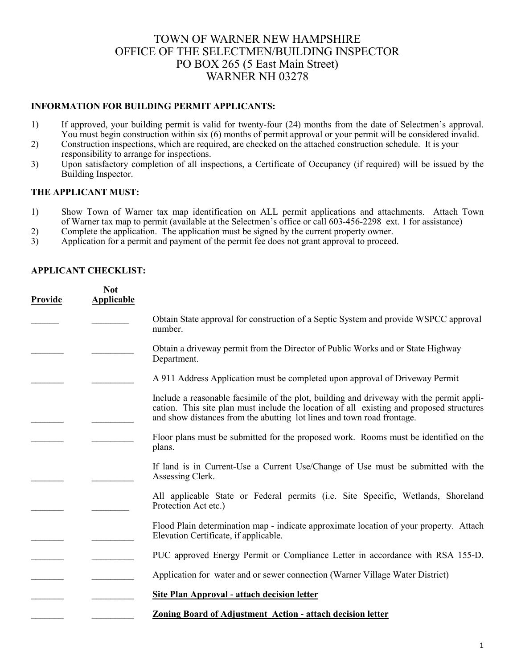## TOWN OF WARNER NEW HAMPSHIRE OFFICE OF THE SELECTMEN/BUILDING INSPECTOR PO BOX 265 (5 East Main Street) WARNER NH 03278

## **INFORMATION FOR BUILDING PERMIT APPLICANTS:**

- 1) If approved, your building permit is valid for twenty-four (24) months from the date of Selectmen's approval. You must begin construction within six (6) months of permit approval or your permit will be considered invalid.
- 2) Construction inspections, which are required, are checked on the attached construction schedule. It is your responsibility to arrange for inspections.
- 3) Upon satisfactory completion of all inspections, a Certificate of Occupancy (if required) will be issued by the Building Inspector.

## **THE APPLICANT MUST:**

- 1) Show Town of Warner tax map identification on ALL permit applications and attachments. Attach Town of Warner tax map to permit (available at the Selectmen's office or call 603-456-2298 ext. 1 for assistance)
- 
- 2) Complete the application. The application must be signed by the current property owner.<br>3) Application for a permit and payment of the permit fee does not grant approval to proceed Application for a permit and payment of the permit fee does not grant approval to proceed.

| Provide | <b>Not</b><br><b>Applicable</b> |                                                                                                                                                                                                                                                                |
|---------|---------------------------------|----------------------------------------------------------------------------------------------------------------------------------------------------------------------------------------------------------------------------------------------------------------|
|         |                                 | Obtain State approval for construction of a Septic System and provide WSPCC approval<br>number.                                                                                                                                                                |
|         |                                 | Obtain a driveway permit from the Director of Public Works and or State Highway<br>Department.                                                                                                                                                                 |
|         |                                 | A 911 Address Application must be completed upon approval of Driveway Permit                                                                                                                                                                                   |
|         |                                 | Include a reasonable facsimile of the plot, building and driveway with the permit appli-<br>cation. This site plan must include the location of all existing and proposed structures<br>and show distances from the abutting lot lines and town road frontage. |
|         |                                 | Floor plans must be submitted for the proposed work. Rooms must be identified on the<br>plans.                                                                                                                                                                 |
|         |                                 | If land is in Current-Use a Current Use/Change of Use must be submitted with the<br>Assessing Clerk.                                                                                                                                                           |
|         |                                 | All applicable State or Federal permits (i.e. Site Specific, Wetlands, Shoreland<br>Protection Act etc.)                                                                                                                                                       |
|         |                                 | Flood Plain determination map - indicate approximate location of your property. Attach<br>Elevation Certificate, if applicable.                                                                                                                                |
|         |                                 | PUC approved Energy Permit or Compliance Letter in accordance with RSA 155-D.                                                                                                                                                                                  |
|         |                                 | Application for water and or sewer connection (Warner Village Water District)                                                                                                                                                                                  |
|         |                                 | <b>Site Plan Approval - attach decision letter</b>                                                                                                                                                                                                             |
|         |                                 | <b>Zoning Board of Adjustment Action - attach decision letter</b>                                                                                                                                                                                              |

## **APPLICANT CHECKLIST:**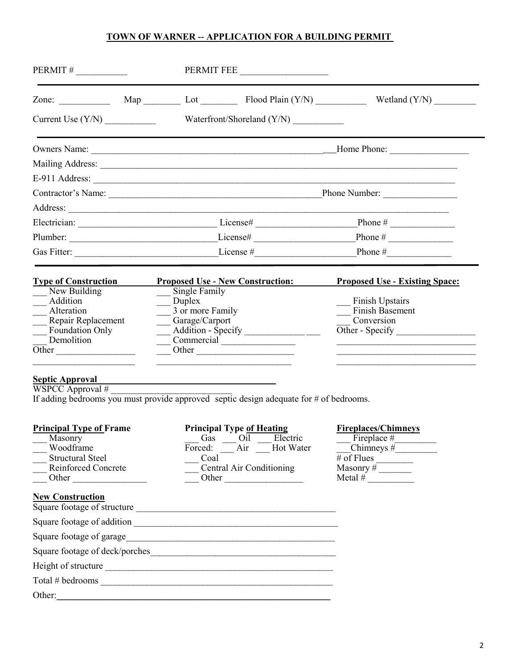## **TOWN OF WARNER -- APPLICATION FOR A BUILDING PERMIT**

|                                                                                                                                    | PERMIT FEE                                                                                                                 |                                                                                                                    |  |
|------------------------------------------------------------------------------------------------------------------------------------|----------------------------------------------------------------------------------------------------------------------------|--------------------------------------------------------------------------------------------------------------------|--|
|                                                                                                                                    |                                                                                                                            |                                                                                                                    |  |
|                                                                                                                                    |                                                                                                                            |                                                                                                                    |  |
|                                                                                                                                    |                                                                                                                            |                                                                                                                    |  |
|                                                                                                                                    |                                                                                                                            |                                                                                                                    |  |
|                                                                                                                                    |                                                                                                                            |                                                                                                                    |  |
|                                                                                                                                    |                                                                                                                            |                                                                                                                    |  |
|                                                                                                                                    |                                                                                                                            |                                                                                                                    |  |
|                                                                                                                                    |                                                                                                                            |                                                                                                                    |  |
|                                                                                                                                    |                                                                                                                            |                                                                                                                    |  |
|                                                                                                                                    |                                                                                                                            |                                                                                                                    |  |
| <b>Type of Construction</b>                                                                                                        | <b>Proposed Use - New Construction:</b>                                                                                    | <b>Proposed Use - Existing Space:</b>                                                                              |  |
| New Building<br>Addition<br>Alteration<br>$\overline{\phantom{0}}$<br>Repair Replacement<br>Foundation Only<br>Demolition<br>Other | Single Family<br>$\Box$ Duplex<br>3 or more Family<br>Garage/Carport<br>Addition - Specify _________________<br>Commercial | <b>Finish Upstairs</b><br><b>Finish Basement</b><br>Conversion                                                     |  |
| <b>Septic Approval</b><br>$WSPCC$ Approval #                                                                                       | If adding bedrooms you must provide approved septic design adequate for # of bedrooms.                                     |                                                                                                                    |  |
| <b>Principal Type of Frame</b><br>Masonry<br>Woodframe<br><b>Structural Steel</b><br>Reinforced Concrete                           | <b>Principal Type of Heating</b><br>Gas<br>Oil<br>Electric<br>Air Hot Water<br>Forced:<br>Coal<br>Central Air Conditioning | <b>Fireplaces/Chimneys</b><br>$\text{Chimneys}\ \#$<br>$\overline{\# \text{ of Flues}}$<br>Masonry $\#$<br>Metal # |  |
| <b>New Construction</b>                                                                                                            | Square footage of structure                                                                                                |                                                                                                                    |  |
|                                                                                                                                    |                                                                                                                            |                                                                                                                    |  |
| Square footage of garage                                                                                                           |                                                                                                                            |                                                                                                                    |  |
|                                                                                                                                    |                                                                                                                            |                                                                                                                    |  |
|                                                                                                                                    |                                                                                                                            |                                                                                                                    |  |
|                                                                                                                                    | Total # bedrooms                                                                                                           |                                                                                                                    |  |

Other:\_\_\_\_\_\_\_\_\_\_\_\_\_\_\_\_\_\_\_\_\_\_\_\_\_\_\_\_\_\_\_\_\_\_\_\_\_\_\_\_\_\_\_\_\_\_\_\_\_\_\_\_\_\_\_\_\_\_\_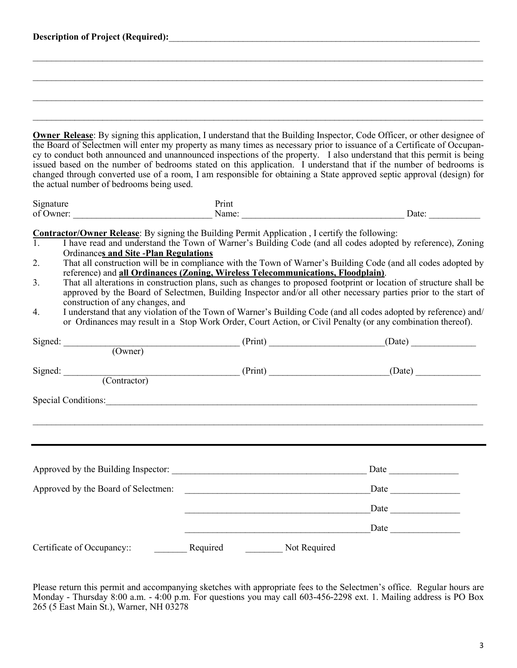| the actual number of bedrooms being used.                                                                                                                                                                                                                                                             |          |              | Owner Release: By signing this application, I understand that the Building Inspector, Code Officer, or other designee of<br>the Board of Selectmen will enter my property as many times as necessary prior to issuance of a Certificate of Occupan-<br>cy to conduct both announced and unannounced inspections of the property. I also understand that this permit is being<br>issued based on the number of bedrooms stated on this application. I understand that if the number of bedrooms is<br>changed through converted use of a room, I am responsible for obtaining a State approved septic approval (design) for                                                                              |
|-------------------------------------------------------------------------------------------------------------------------------------------------------------------------------------------------------------------------------------------------------------------------------------------------------|----------|--------------|---------------------------------------------------------------------------------------------------------------------------------------------------------------------------------------------------------------------------------------------------------------------------------------------------------------------------------------------------------------------------------------------------------------------------------------------------------------------------------------------------------------------------------------------------------------------------------------------------------------------------------------------------------------------------------------------------------|
| Signature                                                                                                                                                                                                                                                                                             | Print    |              |                                                                                                                                                                                                                                                                                                                                                                                                                                                                                                                                                                                                                                                                                                         |
|                                                                                                                                                                                                                                                                                                       |          |              |                                                                                                                                                                                                                                                                                                                                                                                                                                                                                                                                                                                                                                                                                                         |
| <b>Contractor/Owner Release:</b> By signing the Building Permit Application, I certify the following:<br>1.<br><b>Ordinances and Site -Plan Regulations</b><br>2.<br>reference) and all Ordinances (Zoning, Wireless Telecommunications, Floodplain).<br>3.<br>construction of any changes, and<br>4. |          |              | I have read and understand the Town of Warner's Building Code (and all codes adopted by reference), Zoning<br>That all construction will be in compliance with the Town of Warner's Building Code (and all codes adopted by<br>That all alterations in construction plans, such as changes to proposed footprint or location of structure shall be<br>approved by the Board of Selectmen, Building Inspector and/or all other necessary parties prior to the start of<br>I understand that any violation of the Town of Warner's Building Code (and all codes adopted by reference) and/<br>or Ordinances may result in a Stop Work Order, Court Action, or Civil Penalty (or any combination thereof). |
| Signed:                                                                                                                                                                                                                                                                                               |          |              | $(0 \text{where})$ (Print) (Date) (Date)                                                                                                                                                                                                                                                                                                                                                                                                                                                                                                                                                                                                                                                                |
|                                                                                                                                                                                                                                                                                                       |          |              |                                                                                                                                                                                                                                                                                                                                                                                                                                                                                                                                                                                                                                                                                                         |
| Signed: (Contractor) (Print) (Print) (Date)                                                                                                                                                                                                                                                           |          |              |                                                                                                                                                                                                                                                                                                                                                                                                                                                                                                                                                                                                                                                                                                         |
| Special Conditions:                                                                                                                                                                                                                                                                                   |          |              |                                                                                                                                                                                                                                                                                                                                                                                                                                                                                                                                                                                                                                                                                                         |
|                                                                                                                                                                                                                                                                                                       |          |              |                                                                                                                                                                                                                                                                                                                                                                                                                                                                                                                                                                                                                                                                                                         |
|                                                                                                                                                                                                                                                                                                       |          |              |                                                                                                                                                                                                                                                                                                                                                                                                                                                                                                                                                                                                                                                                                                         |
| Approved by the Board of Selectmen:                                                                                                                                                                                                                                                                   |          |              | Date <u>_______________</u>                                                                                                                                                                                                                                                                                                                                                                                                                                                                                                                                                                                                                                                                             |
|                                                                                                                                                                                                                                                                                                       |          |              | Date                                                                                                                                                                                                                                                                                                                                                                                                                                                                                                                                                                                                                                                                                                    |
|                                                                                                                                                                                                                                                                                                       |          |              |                                                                                                                                                                                                                                                                                                                                                                                                                                                                                                                                                                                                                                                                                                         |
| Certificate of Occupancy::                                                                                                                                                                                                                                                                            | Required | Not Required |                                                                                                                                                                                                                                                                                                                                                                                                                                                                                                                                                                                                                                                                                                         |

Description of Project (Required): **We are also assumed as a set of Project** (Required):

Please return this permit and accompanying sketches with appropriate fees to the Selectmen's office. Regular hours are Monday - Thursday 8:00 a.m. - 4:00 p.m. For questions you may call 603-456-2298 ext. 1. Mailing address is PO Box 265 (5 East Main St.), Warner, NH 03278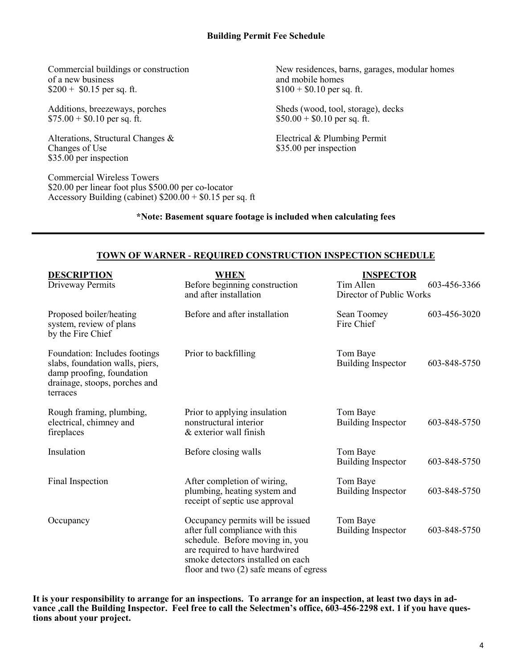of a new business<br>  $$200 + $0.15$  per sq. ft.<br>  $$100 + $0.10$  per sq. ft.<br>  $$100 + $0.10$  per sq. ft.  $$200 + $0.15$  per sq. ft.

 $$75.00 + $0.10$  per sq. ft.

Alterations, Structural Changes & Electrical & Plumbing Permit<br>Changes of Use \$35.00 per inspection \$35.00 per inspection

Commercial Wireless Towers \$20.00 per linear foot plus \$500.00 per co-locator Accessory Building (cabinet)  $$200.00 + $0.15$  per sq. ft

Commercial buildings or construction New residences, barns, garages, modular homes of a new business and mobile homes

Additions, breezeways, porches Sheds (wood, tool, storage), decks \$75.00 + \$0.10 per sq. ft.

\$35.00 per inspection

## **\*Note: Basement square footage is included when calculating fees**

#### **TOWN OF WARNER - REQUIRED CONSTRUCTION INSPECTION SCHEDULE**

| <b>DESCRIPTION</b><br>Driveway Permits                                                                                                     | <b>WHEN</b><br>Before beginning construction<br>and after installation                                                                                                                                                    | <b>INSPECTOR</b><br>Tim Allen<br>603-456-3366<br>Director of Public Works |  |
|--------------------------------------------------------------------------------------------------------------------------------------------|---------------------------------------------------------------------------------------------------------------------------------------------------------------------------------------------------------------------------|---------------------------------------------------------------------------|--|
| Proposed boiler/heating<br>system, review of plans<br>by the Fire Chief                                                                    | Before and after installation                                                                                                                                                                                             | 603-456-3020<br>Sean Toomey<br>Fire Chief                                 |  |
| Foundation: Includes footings<br>slabs, foundation walls, piers,<br>damp proofing, foundation<br>drainage, stoops, porches and<br>terraces | Prior to backfilling                                                                                                                                                                                                      | Tom Baye<br><b>Building Inspector</b><br>603-848-5750                     |  |
| Rough framing, plumbing,<br>electrical, chimney and<br>fireplaces                                                                          | Prior to applying insulation<br>nonstructural interior<br>& exterior wall finish                                                                                                                                          | Tom Baye<br><b>Building Inspector</b><br>603-848-5750                     |  |
| Insulation                                                                                                                                 | Before closing walls                                                                                                                                                                                                      | Tom Baye<br>603-848-5750<br><b>Building Inspector</b>                     |  |
| Final Inspection                                                                                                                           | After completion of wiring,<br>plumbing, heating system and<br>receipt of septic use approval                                                                                                                             | Tom Baye<br><b>Building Inspector</b><br>603-848-5750                     |  |
| Occupancy                                                                                                                                  | Occupancy permits will be issued<br>after full compliance with this<br>schedule. Before moving in, you<br>are required to have hardwired<br>smoke detectors installed on each<br>floor and two $(2)$ safe means of egress | Tom Baye<br>603-848-5750<br><b>Building Inspector</b>                     |  |

**It is your responsibility to arrange for an inspections. To arrange for an inspection, at least two days in advance ,call the Building Inspector. Feel free to call the Selectmen's office, 603-456-2298 ext. 1 if you have questions about your project.**